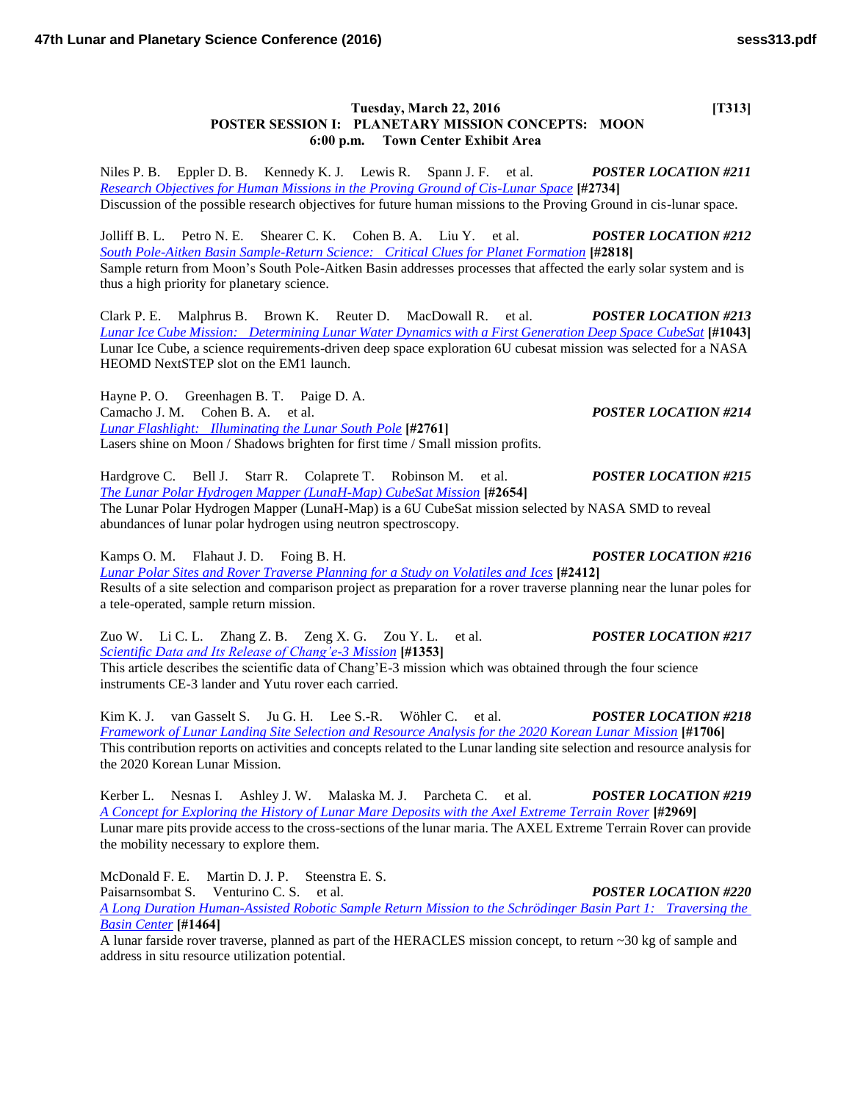## **Tuesday, March 22, 2016** [T313] **POSTER SESSION I: PLANETARY MISSION CONCEPTS: MOON 6:00 p.m. Town Center Exhibit Area**

Niles P. B. Eppler D. B. Kennedy K. J. Lewis R. Spann J. F. et al. *POSTER LOCATION #211 [Research Objectives for Human Missions in the Proving Ground of Cis-Lunar Space](http://www.hou.usra.edu/meetings/lpsc2016/pdf/2734.pdf)* **[#2734]** Discussion of the possible research objectives for future human missions to the Proving Ground in cis-lunar space.

Jolliff B. L. Petro N. E. Shearer C. K. Cohen B. A. Liu Y. et al. *POSTER LOCATION #212 [South Pole-Aitken Basin Sample-Return Science: Critical Clues for Planet Formation](http://www.hou.usra.edu/meetings/lpsc2016/pdf/2818.pdf)* **[#2818]** Sample return from Moon's South Pole-Aitken Basin addresses processes that affected the early solar system and is thus a high priority for planetary science.

Clark P. E. Malphrus B. Brown K. Reuter D. MacDowall R. et al. *POSTER LOCATION #213 [Lunar Ice Cube Mission: Determining Lunar Water Dynamics with a First Generation Deep Space CubeSat](http://www.hou.usra.edu/meetings/lpsc2016/pdf/1043.pdf)* **[#1043]** Lunar Ice Cube, a science requirements-driven deep space exploration 6U cubesat mission was selected for a NASA HEOMD NextSTEP slot on the EM1 launch.

Hayne P. O. Greenhagen B. T. Paige D. A. Camacho J. M. Cohen B. A. et al. *POSTER LOCATION #214 [Lunar Flashlight: Illuminating the Lunar South Pole](http://www.hou.usra.edu/meetings/lpsc2016/pdf/2761.pdf)* **[#2761]** Lasers shine on Moon / Shadows brighten for first time / Small mission profits.

Hardgrove C. Bell J. Starr R. Colaprete T. Robinson M. et al. *POSTER LOCATION #215 [The Lunar Polar Hydrogen Mapper \(LunaH-Map\) CubeSat Mission](http://www.hou.usra.edu/meetings/lpsc2016/pdf/2654.pdf)* **[#2654]** The Lunar Polar Hydrogen Mapper (LunaH-Map) is a 6U CubeSat mission selected by NASA SMD to reveal abundances of lunar polar hydrogen using neutron spectroscopy.

Kamps O. M. Flahaut J. D. Foing B. H. *POSTER LOCATION #216*

*[Lunar Polar Sites and Rover Traverse Planning for a Study on Volatiles and Ices](http://www.hou.usra.edu/meetings/lpsc2016/pdf/2412.pdf)* **[#2412]** Results of a site selection and comparison project as preparation for a rover traverse planning near the lunar poles for a tele-operated, sample return mission.

Zuo W. Li C. L. Zhang Z. B. Zeng X. G. Zou Y. L. et al. *POSTER LOCATION #217 [Scientific Data and Its Release of Chang'e-3 Mission](http://www.hou.usra.edu/meetings/lpsc2016/pdf/1353.pdf)* **[#1353]**

This article describes the scientific data of Chang'E-3 mission which was obtained through the four science instruments CE-3 lander and Yutu rover each carried.

Kim K. J. van Gasselt S. Ju G. H. Lee S.-R. Wöhler C. et al. *POSTER LOCATION #218 [Framework of Lunar Landing Site Selection and Resource Analysis for the 2020 Korean Lunar Mission](http://www.hou.usra.edu/meetings/lpsc2016/pdf/1706.pdf)* **[#1706]** This contribution reports on activities and concepts related to the Lunar landing site selection and resource analysis for the 2020 Korean Lunar Mission.

Kerber L. Nesnas I. Ashley J. W. Malaska M. J. Parcheta C. et al. *POSTER LOCATION #219 [A Concept for Exploring the History of Lunar Mare Deposits with the Axel Extreme Terrain Rover](http://www.hou.usra.edu/meetings/lpsc2016/pdf/2969.pdf)* **[#2969]** Lunar mare pits provide access to the cross-sections of the lunar maria. The AXEL Extreme Terrain Rover can provide the mobility necessary to explore them.

McDonald F. E. Martin D. J. P. Steenstra E. S. Paisarnsombat S. Venturino C. S. et al. *POSTER LOCATION #220*

*[A Long Duration Human-Assisted Robotic Sample Return Mission to the Schrödinger Basin Part 1: Traversing the](http://www.hou.usra.edu/meetings/lpsc2016/pdf/1464.pdf)  [Basin Center](http://www.hou.usra.edu/meetings/lpsc2016/pdf/1464.pdf)* **[#1464]**

A lunar farside rover traverse, planned as part of the HERACLES mission concept, to return ~30 kg of sample and address in situ resource utilization potential.